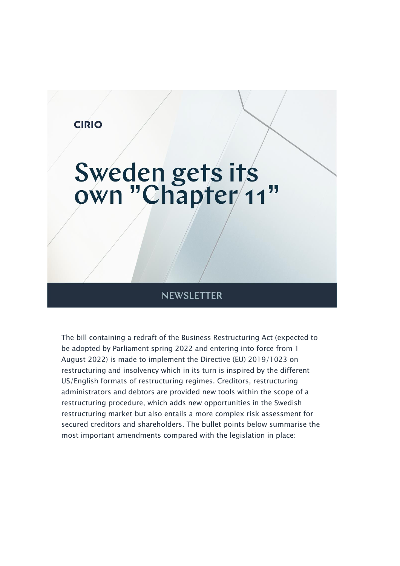

### **NEWSLETTER**

The bill containing a redraft of the Business Restructuring Act (expected to be adopted by Parliament spring 2022 and entering into force from 1 August 2022) is made to implement the Directive (EU) 2019/1023 on restructuring and insolvency which in its turn is inspired by the different US/English formats of restructuring regimes. Creditors, restructuring administrators and debtors are provided new tools within the scope of a restructuring procedure, which adds new opportunities in the Swedish restructuring market but also entails a more complex risk assessment for secured creditors and shareholders. The bullet points below summarise the most important amendments compared with the legislation in place: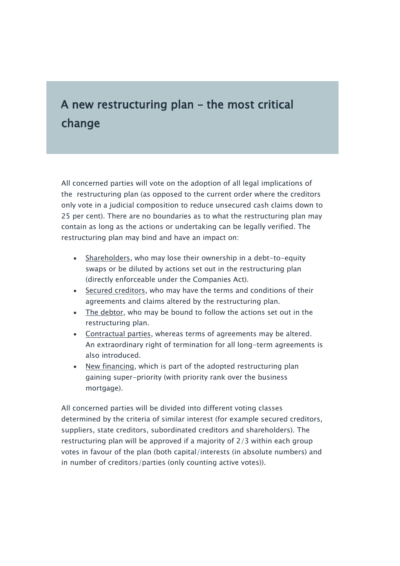## A new restructuring plan – the most critical change

All concerned parties will vote on the adoption of all legal implications of the restructuring plan (as opposed to the current order where the creditors only vote in a judicial composition to reduce unsecured cash claims down to 25 per cent). There are no boundaries as to what the restructuring plan may contain as long as the actions or undertaking can be legally verified. The restructuring plan may bind and have an impact on:

- Shareholders, who may lose their ownership in a debt-to-equity swaps or be diluted by actions set out in the restructuring plan (directly enforceable under the Companies Act).
- Secured creditors, who may have the terms and conditions of their agreements and claims altered by the restructuring plan.
- The debtor, who may be bound to follow the actions set out in the restructuring plan.
- Contractual parties, whereas terms of agreements may be altered. An extraordinary right of termination for all long-term agreements is also introduced.
- New financing, which is part of the adopted restructuring plan gaining super-priority (with priority rank over the business mortgage).

All concerned parties will be divided into different voting classes determined by the criteria of similar interest (for example secured creditors, suppliers, state creditors, subordinated creditors and shareholders). The restructuring plan will be approved if a majority of 2/3 within each group votes in favour of the plan (both capital/interests (in absolute numbers) and in number of creditors/parties (only counting active votes)).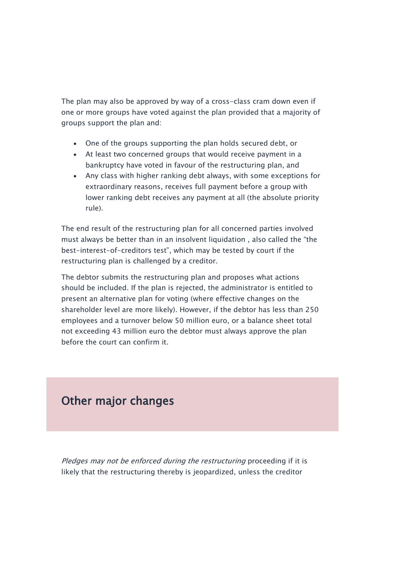The plan may also be approved by way of a cross-class cram down even if one or more groups have voted against the plan provided that a majority of groups support the plan and:

- One of the groups supporting the plan holds secured debt, or
- At least two concerned groups that would receive payment in a bankruptcy have voted in favour of the restructuring plan, and
- Any class with higher ranking debt always, with some exceptions for extraordinary reasons, receives full payment before a group with lower ranking debt receives any payment at all (the absolute priority rule).

The end result of the restructuring plan for all concerned parties involved must always be better than in an insolvent liquidation , also called the "the best-interest-of-creditors test", which may be tested by court if the restructuring plan is challenged by a creditor.

The debtor submits the restructuring plan and proposes what actions should be included. If the plan is rejected, the administrator is entitled to present an alternative plan for voting (where effective changes on the shareholder level are more likely). However, if the debtor has less than 250 employees and a turnover below 50 million euro, or a balance sheet total not exceeding 43 million euro the debtor must always approve the plan before the court can confirm it.

### Other major changes

Pledges may not be enforced during the restructuring proceeding if it is likely that the restructuring thereby is jeopardized, unless the creditor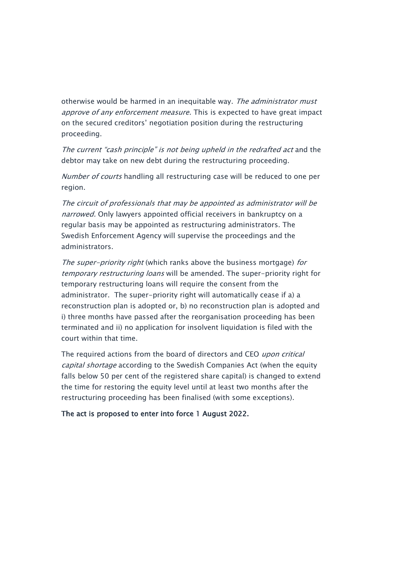otherwise would be harmed in an inequitable way. The administrator must approve of any enforcement measure. This is expected to have great impact on the secured creditors' negotiation position during the restructuring proceeding.

The current "cash principle" is not being upheld in the redrafted act and the debtor may take on new debt during the restructuring proceeding.

Number of courts handling all restructuring case will be reduced to one per region.

The circuit of professionals that may be appointed as administrator will be narrowed. Only lawyers appointed official receivers in bankruptcy on a regular basis may be appointed as restructuring administrators. The Swedish Enforcement Agency will supervise the proceedings and the administrators.

The super-priority right (which ranks above the business mortgage) for temporary restructuring loans will be amended. The super-priority right for temporary restructuring loans will require the consent from the administrator. The super-priority right will automatically cease if a) a reconstruction plan is adopted or, b) no reconstruction plan is adopted and i) three months have passed after the reorganisation proceeding has been terminated and ii) no application for insolvent liquidation is filed with the court within that time.

The required actions from the board of directors and CEO upon critical capital shortage according to the Swedish Companies Act (when the equity falls below 50 per cent of the registered share capital) is changed to extend the time for restoring the equity level until at least two months after the restructuring proceeding has been finalised (with some exceptions).

#### The act is proposed to enter into force 1 August 2022.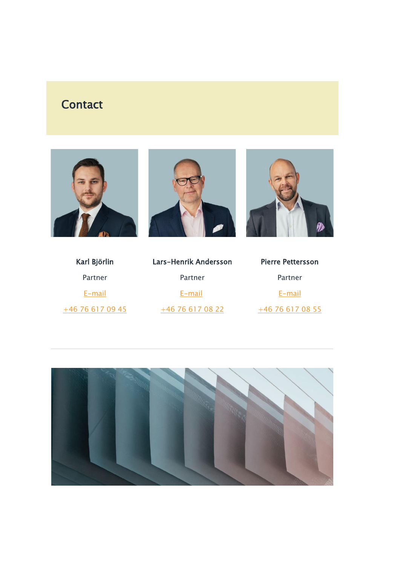# **Contact**







| Karl Björlin     | L |
|------------------|---|
| Partner          |   |
| E-mail           |   |
| +46 76 617 09 45 |   |

| Lars-Henrik Andersson |  |
|-----------------------|--|
| Partner               |  |
| E-mail                |  |
| +46 76 617 08 22      |  |

| Pierre Pettersson |  |
|-------------------|--|
| Partner           |  |
| $E$ -mail         |  |
| +46 76 617 08 55  |  |